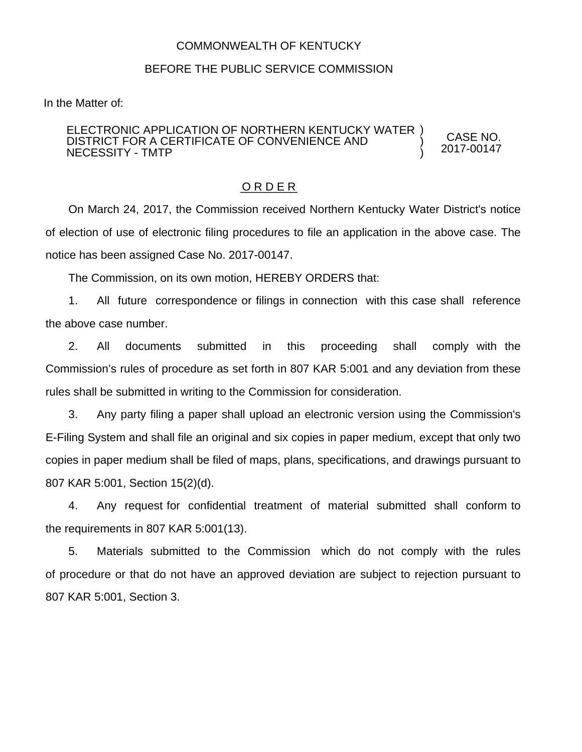## COMMONWEALTH OF KENTUCKY

## BEFORE THE PUBLIC SERVICE COMMISSION

In the Matter of:

#### ELECTRONIC APPLICATION OF NORTHERN KENTUCKY WATER ) DISTRICT FOR A CERTIFICATE OF CONVENIENCE AND NECESSITY - TMTP

CASE NO. 2017-00147

) )

#### O R D E R

On March 24, 2017, the Commission received Northern Kentucky Water District's notice of election of use of electronic filing procedures to file an application in the above case. The notice has been assigned Case No. 2017-00147.

The Commission, on its own motion, HEREBY ORDERS that:

1. All future correspondence or filings in connection with this case shall reference the above case number.

2. All documents submitted in this proceeding shall comply with the Commission's rules of procedure as set forth in 807 KAR 5:001 and any deviation from these rules shall be submitted in writing to the Commission for consideration.

3. Any party filing a paper shall upload an electronic version using the Commission's E-Filing System and shall file an original and six copies in paper medium, except that only two copies in paper medium shall be filed of maps, plans, specifications, and drawings pursuant to 807 KAR 5:001, Section 15(2)(d).

4. Any request for confidential treatment of material submitted shall conform to the requirements in 807 KAR 5:001(13).

5. Materials submitted to the Commission which do not comply with the rules of procedure or that do not have an approved deviation are subject to rejection pursuant to 807 KAR 5:001, Section 3.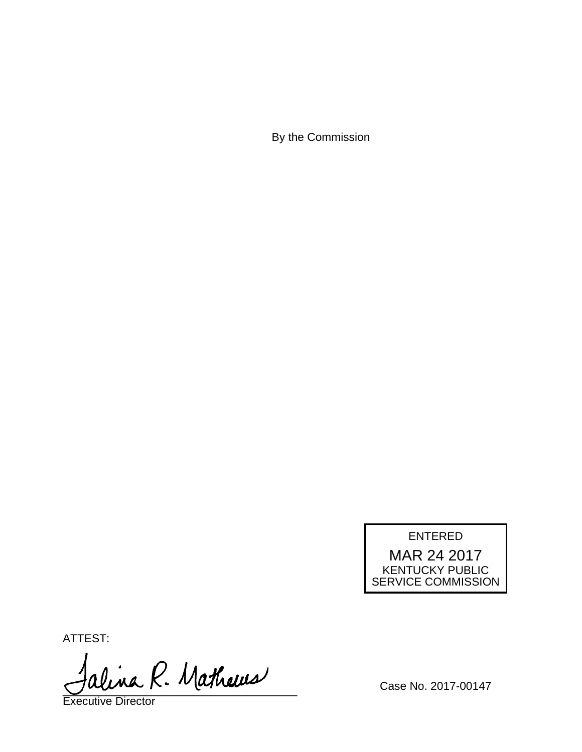By the Commission

# ENTERED

MAR 24 2017 KENTUCKY PUBLIC SERVICE COMMISSION

ATTEST:

alina R. Mathews

Executive Director

Case No. 2017-00147